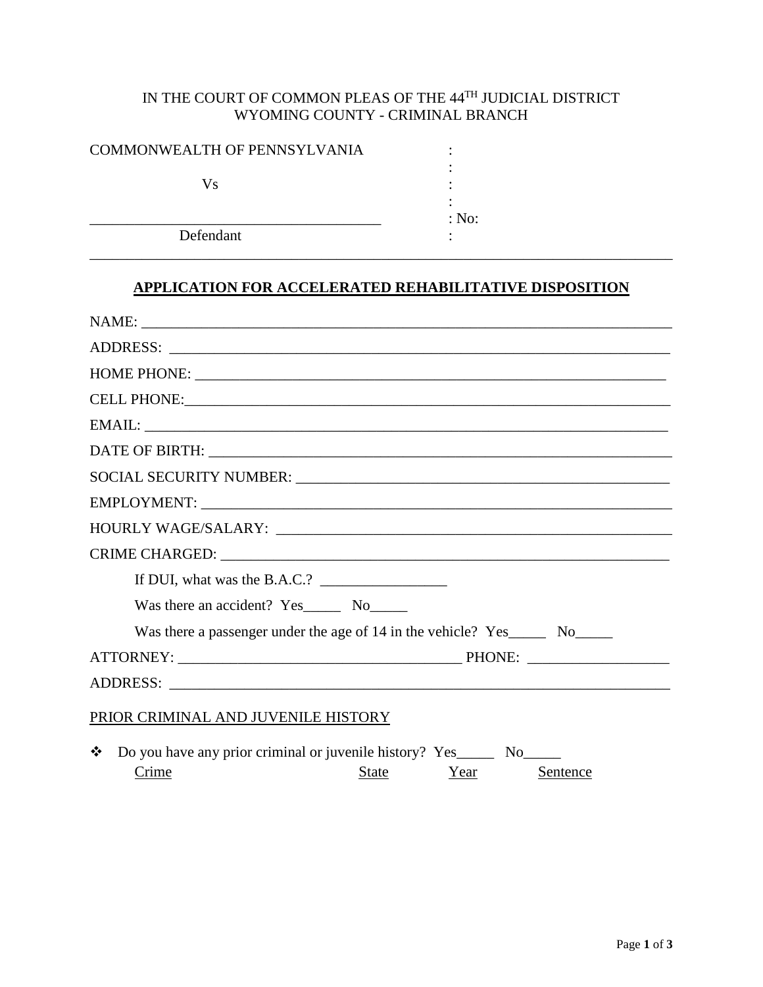## IN THE COURT OF COMMON PLEAS OF THE 44TH JUDICIAL DISTRICT WYOMING COUNTY - CRIMINAL BRANCH

| COMMONWEALTH OF PENNSYLVANIA |       |  |
|------------------------------|-------|--|
| Vs                           |       |  |
| Defendant                    | : No: |  |
|                              |       |  |

## **APPLICATION FOR ACCELERATED REHABILITATIVE DISPOSITION**

| If DUI, what was the B.A.C.? $\frac{1}{2}$                                                                            |  |  |  |  |
|-----------------------------------------------------------------------------------------------------------------------|--|--|--|--|
| Was there an accident? Yes No No                                                                                      |  |  |  |  |
| Was there a passenger under the age of 14 in the vehicle? Yes_______ No_______                                        |  |  |  |  |
|                                                                                                                       |  |  |  |  |
|                                                                                                                       |  |  |  |  |
| PRIOR CRIMINAL AND JUVENILE HISTORY                                                                                   |  |  |  |  |
| Do you have any prior criminal or juvenile history? Yes_________ No_______<br>❖<br>Crime<br>State<br>Year<br>Sentence |  |  |  |  |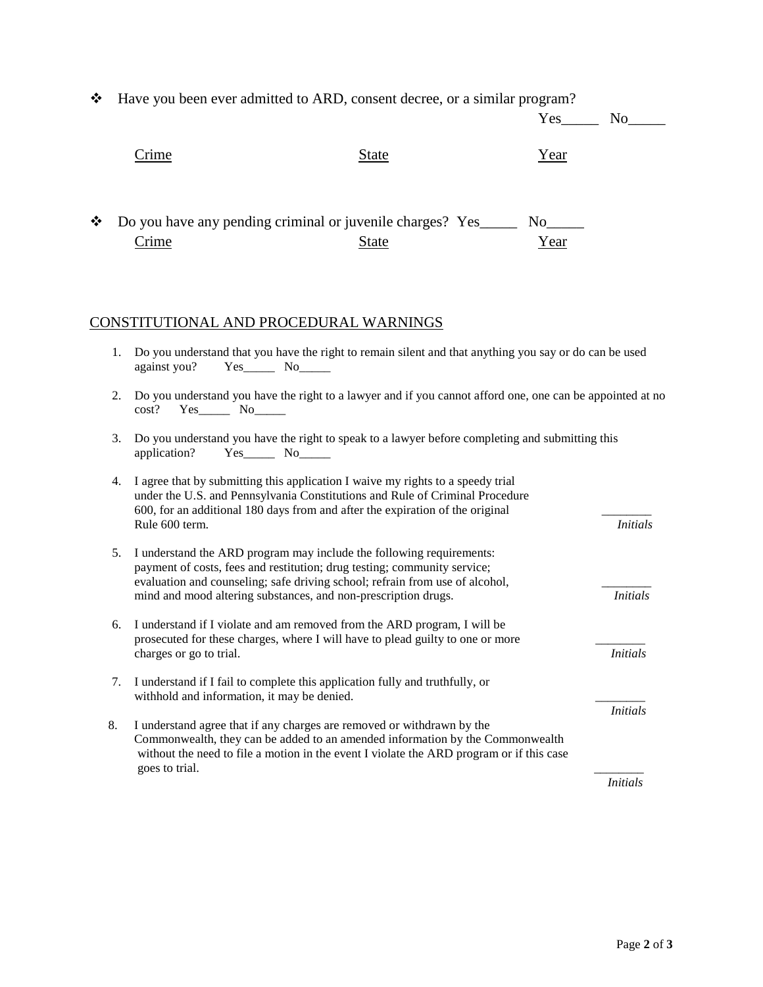| Have you been ever admitted to ARD, consent decree, or a similar program?<br>❖                            |                                                                                                                                            |                                                                                                                                                                                                                                                     |                 |                 |  |
|-----------------------------------------------------------------------------------------------------------|--------------------------------------------------------------------------------------------------------------------------------------------|-----------------------------------------------------------------------------------------------------------------------------------------------------------------------------------------------------------------------------------------------------|-----------------|-----------------|--|
|                                                                                                           |                                                                                                                                            |                                                                                                                                                                                                                                                     | Yes             | No No           |  |
|                                                                                                           | <u>Crime</u>                                                                                                                               | <u>State</u>                                                                                                                                                                                                                                        | <u>Year</u>     |                 |  |
| ❖                                                                                                         | <u>Crime</u>                                                                                                                               | Do you have any pending criminal or juvenile charges? Yes_______<br><b>State</b>                                                                                                                                                                    | Year            |                 |  |
|                                                                                                           | CONSTITUTIONAL AND PROCEDURAL WARNINGS                                                                                                     |                                                                                                                                                                                                                                                     |                 |                 |  |
| 1.                                                                                                        | $Yes$ No<br>against you?                                                                                                                   | Do you understand that you have the right to remain silent and that anything you say or do can be used                                                                                                                                              |                 |                 |  |
| 2.                                                                                                        | Do you understand you have the right to a lawyer and if you cannot afford one, one can be appointed at no<br>$Yes$ No $N$<br>cost?         |                                                                                                                                                                                                                                                     |                 |                 |  |
| 3.                                                                                                        | Do you understand you have the right to speak to a lawyer before completing and submitting this<br>$Yes$ No $\_\_$<br>application?         |                                                                                                                                                                                                                                                     |                 |                 |  |
| 4.                                                                                                        | Rule 600 term.                                                                                                                             | I agree that by submitting this application I waive my rights to a speedy trial<br>under the U.S. and Pennsylvania Constitutions and Rule of Criminal Procedure<br>600, for an additional 180 days from and after the expiration of the original    |                 | <b>Initials</b> |  |
| 5.                                                                                                        |                                                                                                                                            | I understand the ARD program may include the following requirements:<br>payment of costs, fees and restitution; drug testing; community service;<br>evaluation and counseling; safe driving school; refrain from use of alcohol,                    |                 |                 |  |
| 6.                                                                                                        | mind and mood altering substances, and non-prescription drugs.<br>I understand if I violate and am removed from the ARD program, I will be |                                                                                                                                                                                                                                                     | <i>Initials</i> |                 |  |
| prosecuted for these charges, where I will have to plead guilty to one or more<br>charges or go to trial. |                                                                                                                                            |                                                                                                                                                                                                                                                     | <b>Initials</b> |                 |  |
| 7.                                                                                                        | withhold and information, it may be denied.                                                                                                | I understand if I fail to complete this application fully and truthfully, or                                                                                                                                                                        |                 |                 |  |
| 8.                                                                                                        | goes to trial.                                                                                                                             | I understand agree that if any charges are removed or withdrawn by the<br>Commonwealth, they can be added to an amended information by the Commonwealth<br>without the need to file a motion in the event I violate the ARD program or if this case |                 | <i>Initials</i> |  |
|                                                                                                           |                                                                                                                                            |                                                                                                                                                                                                                                                     |                 | <i>Initials</i> |  |